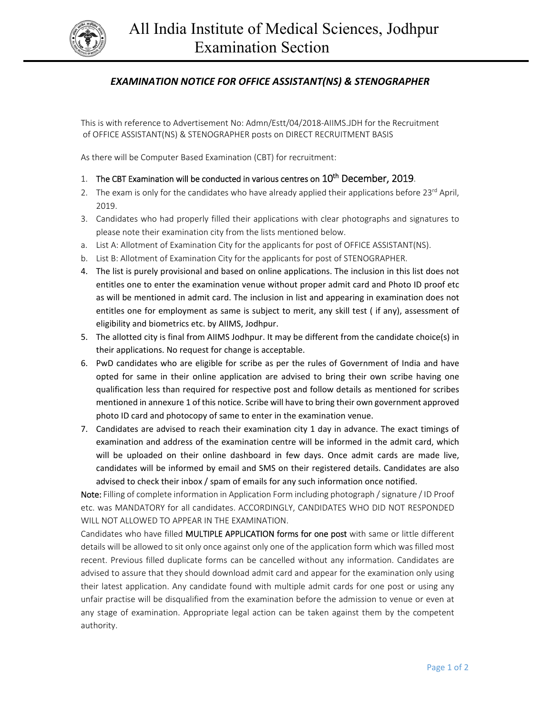

## *EXAMINATION NOTICE FOR OFFICE ASSISTANT(NS) & STENOGRAPHER*

This is with reference to Advertisement No: Admn/Estt/04/2018‐AIIMS.JDH for the Recruitment of OFFICE ASSISTANT(NS) & STENOGRAPHER posts on DIRECT RECRUITMENT BASIS

As there will be Computer Based Examination (CBT) for recruitment:

- 1. The CBT Examination will be conducted in various centres on  $10^{th}$  December, 2019.
- 2. The exam is only for the candidates who have already applied their applications before 23<sup>rd</sup> April, 2019.
- 3. Candidates who had properly filled their applications with clear photographs and signatures to please note their examination city from the lists mentioned below.
- a. List A: Allotment of Examination City for the applicants for post of OFFICE ASSISTANT(NS).
- b. List B: Allotment of Examination City for the applicants for post of STENOGRAPHER.
- 4. The list is purely provisional and based on online applications. The inclusion in this list does not entitles one to enter the examination venue without proper admit card and Photo ID proof etc as will be mentioned in admit card. The inclusion in list and appearing in examination does not entitles one for employment as same is subject to merit, any skill test ( if any), assessment of eligibility and biometrics etc. by AIIMS, Jodhpur.
- 5. The allotted city is final from AIIMS Jodhpur. It may be different from the candidate choice(s) in their applications. No request for change is acceptable.
- 6. PwD candidates who are eligible for scribe as per the rules of Government of India and have opted for same in their online application are advised to bring their own scribe having one qualification less than required for respective post and follow details as mentioned for scribes mentioned in annexure 1 of this notice. Scribe will have to bring their own government approved photo ID card and photocopy of same to enter in the examination venue.
- 7. Candidates are advised to reach their examination city 1 day in advance. The exact timings of examination and address of the examination centre will be informed in the admit card, which will be uploaded on their online dashboard in few days. Once admit cards are made live, candidates will be informed by email and SMS on their registered details. Candidates are also advised to check their inbox / spam of emails for any such information once notified.

Note: Filling of complete information in Application Form including photograph / signature / ID Proof etc. was MANDATORY for all candidates. ACCORDINGLY, CANDIDATES WHO DID NOT RESPONDED WILL NOT ALLOWED TO APPEAR IN THE EXAMINATION.

Candidates who have filled MULTIPLE APPLICATION forms for one post with same or little different details will be allowed to sit only once against only one of the application form which was filled most recent. Previous filled duplicate forms can be cancelled without any information. Candidates are advised to assure that they should download admit card and appear for the examination only using their latest application. Any candidate found with multiple admit cards for one post or using any unfair practise will be disqualified from the examination before the admission to venue or even at any stage of examination. Appropriate legal action can be taken against them by the competent authority.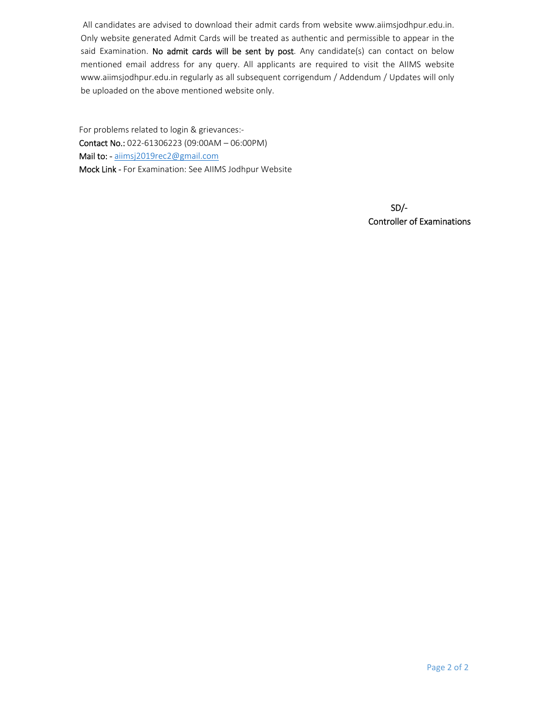All candidates are advised to download their admit cards from website www.aiimsjodhpur.edu.in. Only website generated Admit Cards will be treated as authentic and permissible to appear in the said Examination. No admit cards will be sent by post. Any candidate(s) can contact on below mentioned email address for any query. All applicants are required to visit the AIIMS website www.aiimsjodhpur.edu.in regularly as all subsequent corrigendum / Addendum / Updates will only be uploaded on the above mentioned website only.

For problems related to login & grievances:‐ Contact No.: 022‐61306223 (09:00AM – 06:00PM) Mail to: - aiimsj2019rec2@gmail.com Mock Link ‐ For Examination: See AIIMS Jodhpur Website

> s and the set of the set of the set of the set of the set of the set of the set of the set of the set of the s Controller of Examinations